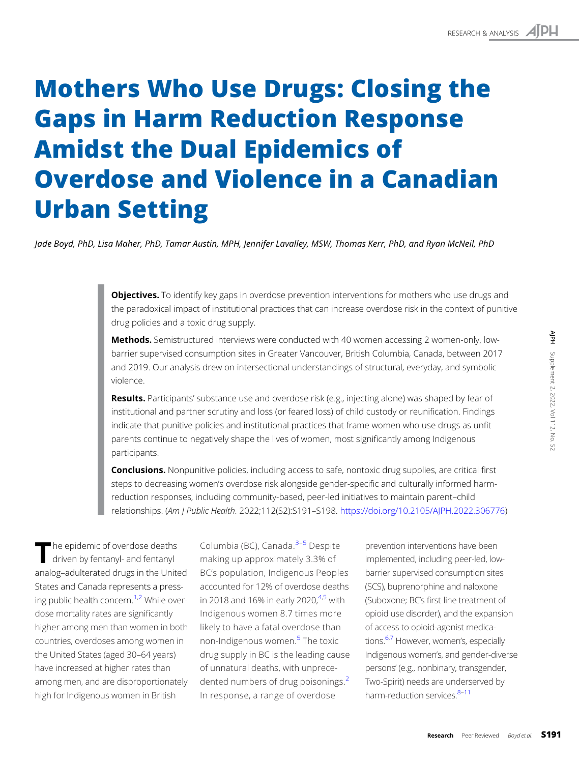# Mothers Who Use Drugs: Closing the Gaps in Harm Reduction Response Amidst the Dual Epidemics of Overdose and Violence in a Canadian Urban Setting

Jade Boyd, PhD, Lisa Maher, PhD, Tamar Austin, MPH, Jennifer Lavalley, MSW, Thomas Kerr, PhD, and Ryan McNeil, PhD

**Objectives.** To identify key gaps in overdose prevention interventions for mothers who use drugs and the paradoxical impact of institutional practices that can increase overdose risk in the context of punitive drug policies and a toxic drug supply.

Methods. Semistructured interviews were conducted with 40 women accessing 2 women-only, lowbarrier supervised consumption sites in Greater Vancouver, British Columbia, Canada, between 2017 and 2019. Our analysis drew on intersectional understandings of structural, everyday, and symbolic violence.

Results. Participants' substance use and overdose risk (e.g., injecting alone) was shaped by fear of institutional and partner scrutiny and loss (or feared loss) of child custody or reunification. Findings indicate that punitive policies and institutional practices that frame women who use drugs as unfit parents continue to negatively shape the lives of women, most significantly among Indigenous participants.

**Conclusions.** Nonpunitive policies, including access to safe, nontoxic drug supplies, are critical first steps to decreasing women's overdose risk alongside gender-specific and culturally informed harmreduction responses, including community-based, peer-led initiatives to maintain parent–child relationships. (Am J Public Health. 2022;112(S2):S191–S198. <https://doi.org/10.2105/AJPH.2022.306776>)

The epidemic of overdose deaths<br>driven by fentanyl- and fentanyl analog–adulterated drugs in the United States and Canada represents a pressing public health concern.<sup>1,2</sup> While overdose mortality rates are significantly higher among men than women in both countries, overdoses among women in the United States (aged 30–64 years) have increased at higher rates than among men, and are disproportionately high for Indigenous women in British

Columbia (BC), Canada. $3-5$  $3-5$  $3-5$  Despite making up approximately 3.3% of BC's population, Indigenous Peoples accounted for 12% of overdose deaths in 2018 and 16% in early 2020, $4.5$  with Indigenous women 8.7 times more likely to have a fatal overdose than non-Indigenous women.<sup>[5](#page-6-0)</sup> The toxic drug supply in BC is the leading cause of unnatural deaths, with unprece-dented numbers of drug poisonings.<sup>[2](#page-6-0)</sup> In response, a range of overdose

prevention interventions have been implemented, including peer-led, lowbarrier supervised consumption sites (SCS), buprenorphine and naloxone (Suboxone; BC's first-line treatment of opioid use disorder), and the expansion of access to opioid-agonist medications.<sup>6,7</sup> However, women's, especially Indigenous women's, and gender-diverse persons' (e.g., nonbinary, transgender, Two-Spirit) needs are underserved by harm-reduction services. 8-[11](#page-7-0)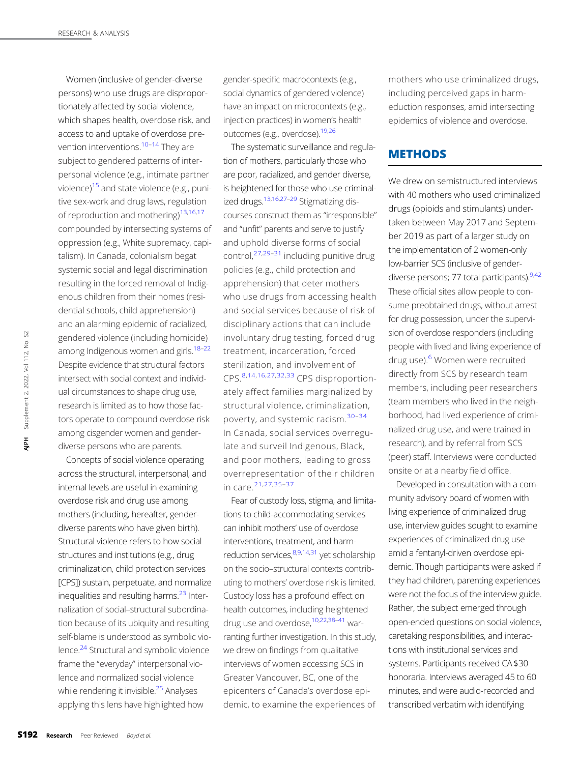Women (inclusive of gender-diverse persons) who use drugs are disproportionately affected by social violence, which shapes health, overdose risk, and access to and uptake of overdose pre-vention interventions.<sup>[10](#page-7-0)–[14](#page-7-0)</sup> They are subject to gendered patterns of interpersonal violence (e.g., intimate partner violence[\)15](#page-7-0) and state violence (e.g., punitive sex-work and drug laws, regulation of reproduction and mothering)<sup>13,16,17</sup> compounded by intersecting systems of oppression (e.g., White supremacy, capitalism). In Canada, colonialism begat systemic social and legal discrimination resulting in the forced removal of Indigenous children from their homes (residential schools, child apprehension) and an alarming epidemic of racialized, gendered violence (including homicide) among Indigenous women and girls.<sup>18-[22](#page-7-0)</sup> Despite evidence that structural factors intersect with social context and individual circumstances to shape drug use, research is limited as to how those factors operate to compound overdose risk among cisgender women and genderdiverse persons who are parents.

Concepts of social violence operating across the structural, interpersonal, and internal levels are useful in examining overdose risk and drug use among mothers (including, hereafter, genderdiverse parents who have given birth). Structural violence refers to how social structures and institutions (e.g., drug criminalization, child protection services [CPS]) sustain, perpetuate, and normalize inequalities and resulting harms.<sup>[23](#page-7-0)</sup> Internalization of social–structural subordination because of its ubiquity and resulting self-blame is understood as symbolic violence.<sup>24</sup> Structural and symbolic violence frame the "everyday" interpersonal violence and normalized social violence while rendering it invisible. $25$  Analyses applying this lens have highlighted how  $\frac{19}{2}$  gendered violence (inclu<br>among Indigenous wome<br>Despite evidence that str<br>intersect with social conts<br>ual circumstances to shal<br>research is limited as to *t*<br>tors operate to compour<br>among cisgender womer<br>diverse

gender-specific macrocontexts (e.g., social dynamics of gendered violence) have an impact on microcontexts (e.g., injection practices) in women's health outcomes (e.g., overdose).[19,26](#page-7-0)

The systematic surveillance and regulation of mothers, particularly those who are poor, racialized, and gender diverse, is heightened for those who use criminal-ized drugs.<sup>13,16,27-[29](#page-7-0)</sup> Stigmatizing discourses construct them as "irresponsible" and "unfit" parents and serve to justify and uphold diverse forms of social control, $27,29-31$  $27,29-31$  $27,29-31$  $27,29-31$  $27,29-31$  including punitive drug policies (e.g., child protection and apprehension) that deter mothers who use drugs from accessing health and social services because of risk of disciplinary actions that can include involuntary drug testing, forced drug treatment, incarceration, forced sterilization, and involvement of CPS.[8](#page-6-0),[14](#page-7-0),[16](#page-7-0),[27](#page-7-0),[32](#page-7-0),[33](#page-7-0) CPS disproportionately affect families marginalized by structural violence, criminalization, poverty, and systemic racism.[30](#page-7-0)[–](#page-7-0)[34](#page-7-0) In Canada, social services overregulate and surveil Indigenous, Black, and poor mothers, leading to gross overrepresentation of their children in care.[21](#page-7-0),[27](#page-7-0),[35](#page-7-0)–[37](#page-7-0)

Fear of custody loss, stigma, and limitations to child-accommodating services can inhibit mothers' use of overdose interventions, treatment, and harm-reduction services, 8,9,[14,31](#page-7-0) yet scholarship on the socio–structural contexts contributing to mothers' overdose risk is limited. Custody loss has a profound effect on health outcomes, including heightened drug use and overdose,[10,22](#page-7-0),[38](#page-7-0)–[41](#page-7-0) warranting further investigation. In this study, we drew on findings from qualitative interviews of women accessing SCS in Greater Vancouver, BC, one of the epicenters of Canada's overdose epidemic, to examine the experiences of

mothers who use criminalized drugs, including perceived gaps in harmeduction responses, amid intersecting epidemics of violence and overdose.

### **METHODS**

We drew on semistructured interviews with 40 mothers who used criminalized drugs (opioids and stimulants) undertaken between May 2017 and September 2019 as part of a larger study on the implementation of 2 women-only low-barrier SCS (inclusive of genderdiverse persons; 77 total participants).  $9,42$  $9,42$ These official sites allow people to consume preobtained drugs, without arrest for drug possession, under the supervision of overdose responders (including people with lived and living experience of drug use).<sup>[6](#page-6-0)</sup> Women were recruited directly from SCS by research team members, including peer researchers (team members who lived in the neighborhood, had lived experience of criminalized drug use, and were trained in research), and by referral from SCS (peer) staff. Interviews were conducted onsite or at a nearby field office.

Developed in consultation with a community advisory board of women with living experience of criminalized drug use, interview guides sought to examine experiences of criminalized drug use amid a fentanyl-driven overdose epidemic. Though participants were asked if they had children, parenting experiences were not the focus of the interview guide. Rather, the subject emerged through open-ended questions on social violence, caretaking responsibilities, and interactions with institutional services and systems. Participants received CA \$30 honoraria. Interviews averaged 45 to 60 minutes, and were audio-recorded and transcribed verbatim with identifying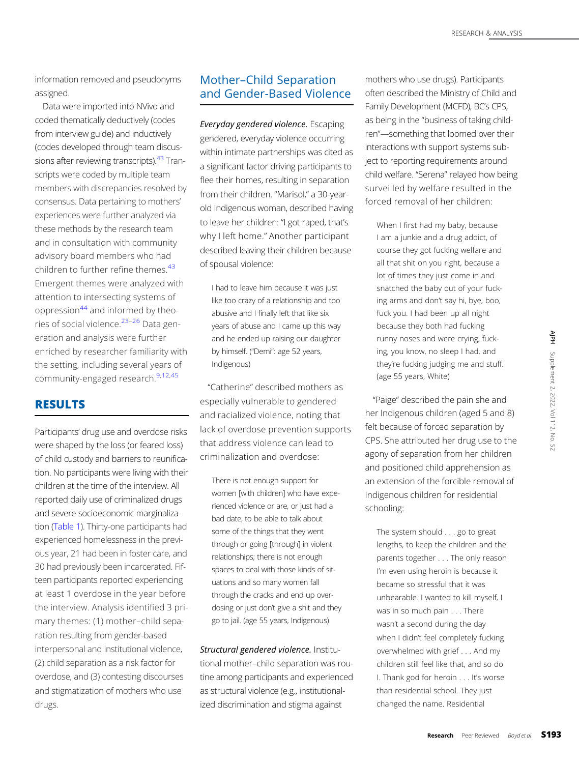information removed and pseudonyms assigned.

Data were imported into NVivo and coded thematically deductively (codes from interview guide) and inductively (codes developed through team discus-sions after reviewing transcripts).<sup>[43](#page-7-0)</sup> Transcripts were coded by multiple team members with discrepancies resolved by consensus. Data pertaining to mothers' experiences were further analyzed via these methods by the research team and in consultation with community advisory board members who had children to further refine themes.<sup>[43](#page-7-0)</sup> Emergent themes were analyzed with attention to intersecting systems of oppression $44$  and informed by theories of social violence.[23](#page-7-0)–[26](#page-7-0) Data generation and analysis were further enriched by researcher familiarity with the setting, including several years of community-engaged research.<sup>[9](#page-6-0),[12,45](#page-7-0)</sup>

## RESULTS

Participants' drug use and overdose risks were shaped by the loss (or feared loss) of child custody and barriers to reunification. No participants were living with their children at the time of the interview. All reported daily use of criminalized drugs and severe socioeconomic marginalization [\(Table 1\)](#page-3-0). Thirty-one participants had experienced homelessness in the previous year, 21 had been in foster care, and 30 had previously been incarcerated. Fifteen participants reported experiencing at least 1 overdose in the year before the interview. Analysis identified 3 primary themes: (1) mother–child separation resulting from gender-based interpersonal and institutional violence, (2) child separation as a risk factor for overdose, and (3) contesting discourses and stigmatization of mothers who use drugs.

# Mother–Child Separation and Gender-Based Violence

Everyday gendered violence. Escaping gendered, everyday violence occurring within intimate partnerships was cited as a significant factor driving participants to flee their homes, resulting in separation from their children. "Marisol," a 30-yearold Indigenous woman, described having to leave her children: "I got raped, that's why I left home." Another participant described leaving their children because of spousal violence:

I had to leave him because it was just like too crazy of a relationship and too abusive and I finally left that like six years of abuse and I came up this way and he ended up raising our daughter by himself. ("Demi": age 52 years, Indigenous)

"Catherine" described mothers as especially vulnerable to gendered and racialized violence, noting that lack of overdose prevention supports that address violence can lead to criminalization and overdose:

There is not enough support for women [with children] who have experienced violence or are, or just had a bad date, to be able to talk about some of the things that they went through or going [through] in violent relationships; there is not enough spaces to deal with those kinds of situations and so many women fall through the cracks and end up overdosing or just don't give a shit and they go to jail. (age 55 years, Indigenous)

Structural gendered violence. Institutional mother–child separation was routine among participants and experienced as structural violence (e.g., institutionalized discrimination and stigma against

mothers who use drugs). Participants often described the Ministry of Child and Family Development (MCFD), BC's CPS, as being in the "business of taking children"—something that loomed over their interactions with support systems subject to reporting requirements around child welfare. "Serena" relayed how being surveilled by welfare resulted in the forced removal of her children:

When I first had my baby, because I am a junkie and a drug addict, of course they got fucking welfare and all that shit on you right, because a lot of times they just come in and snatched the baby out of your fucking arms and don't say hi, bye, boo, fuck you. I had been up all night because they both had fucking runny noses and were crying, fucking, you know, no sleep I had, and they're fucking judging me and stuff. (age 55 years, White)

"Paige" described the pain she and her Indigenous children (aged 5 and 8) felt because of forced separation by CPS. She attributed her drug use to the agony of separation from her children and positioned child apprehension as an extension of the forcible removal of Indigenous children for residential schooling:

The system should . . . go to great lengths, to keep the children and the parents together . . . The only reason I'm even using heroin is because it became so stressful that it was unbearable. I wanted to kill myself, I was in so much pain . . . There wasn't a second during the day when I didn't feel completely fucking overwhelmed with grief . . . And my children still feel like that, and so do I. Thank god for heroin . . . It's worse than residential school. They just changed the name. Residential may were crying, fuck-<br>
and judging me and stuff.<br>
White)<br>
beed the pain she and<br>
shored separation by<br>
ted her drug use to the<br>
tion from her children<br>
thid apprehension as<br>
the forcible removal of<br>
lien for residential<br>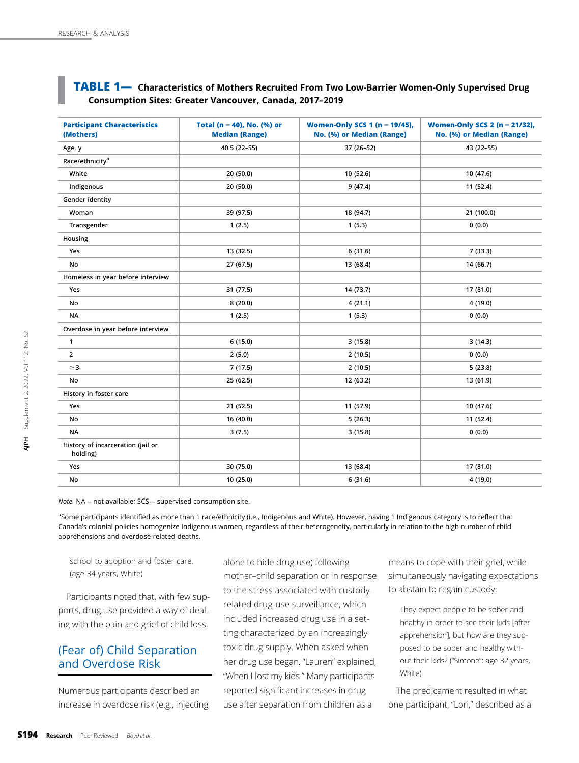## <span id="page-3-0"></span>**TABLE 1** - Characteristics of Mothers Recruited From Two Low-Barrier Women-Only Supervised Drug Consumption Sites: Greater Vancouver, Canada, 2017–2019

| <b>Participant Characteristics</b><br>(Mothers)                                                                                                                                                                                                                                                                                                                                                                                                                         | Total (n = 40), No. (%) or<br><b>Median (Range)</b> | Women-Only SCS 1 (n = $19/45$ ),<br>No. (%) or Median (Range)                     |        | Women-Only SCS 2 (n = 21/32),<br>No. (%) or Median (Range)                  |
|-------------------------------------------------------------------------------------------------------------------------------------------------------------------------------------------------------------------------------------------------------------------------------------------------------------------------------------------------------------------------------------------------------------------------------------------------------------------------|-----------------------------------------------------|-----------------------------------------------------------------------------------|--------|-----------------------------------------------------------------------------|
| Age, y                                                                                                                                                                                                                                                                                                                                                                                                                                                                  | 40.5 (22-55)                                        | 37 (26-52)                                                                        |        | 43 (22-55)                                                                  |
| Race/ethnicity <sup>a</sup>                                                                                                                                                                                                                                                                                                                                                                                                                                             |                                                     |                                                                                   |        |                                                                             |
| White                                                                                                                                                                                                                                                                                                                                                                                                                                                                   | 20 (50.0)                                           | 10 (52.6)                                                                         |        | 10 (47.6)                                                                   |
| Indigenous                                                                                                                                                                                                                                                                                                                                                                                                                                                              | 20 (50.0)                                           | 9(47.4)                                                                           |        | 11 (52.4)                                                                   |
| Gender identity                                                                                                                                                                                                                                                                                                                                                                                                                                                         |                                                     |                                                                                   |        |                                                                             |
| Woman                                                                                                                                                                                                                                                                                                                                                                                                                                                                   | 39 (97.5)                                           | 18 (94.7)                                                                         |        | 21 (100.0)                                                                  |
| Transgender                                                                                                                                                                                                                                                                                                                                                                                                                                                             | 1(2.5)                                              | 1(5.3)                                                                            |        | 0(0.0)                                                                      |
| Housing                                                                                                                                                                                                                                                                                                                                                                                                                                                                 |                                                     |                                                                                   |        |                                                                             |
| Yes                                                                                                                                                                                                                                                                                                                                                                                                                                                                     | 13 (32.5)                                           | 6(31.6)                                                                           |        | 7(33.3)                                                                     |
| No                                                                                                                                                                                                                                                                                                                                                                                                                                                                      | 27 (67.5)                                           | 13 (68.4)                                                                         |        | 14 (66.7)                                                                   |
| Homeless in year before interview                                                                                                                                                                                                                                                                                                                                                                                                                                       |                                                     |                                                                                   |        |                                                                             |
| Yes                                                                                                                                                                                                                                                                                                                                                                                                                                                                     | 31 (77.5)                                           | 14 (73.7)                                                                         |        | 17 (81.0)                                                                   |
| No                                                                                                                                                                                                                                                                                                                                                                                                                                                                      | 8(20.0)                                             | 4(21.1)                                                                           |        | 4 (19.0)                                                                    |
| <b>NA</b>                                                                                                                                                                                                                                                                                                                                                                                                                                                               | 1(2.5)                                              | 1(5.3)                                                                            |        | 0(0.0)                                                                      |
| Overdose in year before interview                                                                                                                                                                                                                                                                                                                                                                                                                                       |                                                     |                                                                                   |        |                                                                             |
| $\mathbf{1}$                                                                                                                                                                                                                                                                                                                                                                                                                                                            | 6(15.0)                                             | 3(15.8)                                                                           |        | 3(14.3)                                                                     |
| $\overline{2}$                                                                                                                                                                                                                                                                                                                                                                                                                                                          | 2(5.0)                                              | 2 (10.5)                                                                          |        | 0(0.0)                                                                      |
| $\geq$ 3                                                                                                                                                                                                                                                                                                                                                                                                                                                                | 7 (17.5)                                            | 2(10.5)                                                                           |        | 5(23.8)                                                                     |
| No                                                                                                                                                                                                                                                                                                                                                                                                                                                                      | 25 (62.5)                                           | 12 (63.2)                                                                         |        | 13 (61.9)                                                                   |
| History in foster care                                                                                                                                                                                                                                                                                                                                                                                                                                                  |                                                     |                                                                                   |        |                                                                             |
| Yes                                                                                                                                                                                                                                                                                                                                                                                                                                                                     | 21 (52.5)                                           | 11 (57.9)                                                                         |        | 10 (47.6)                                                                   |
| No                                                                                                                                                                                                                                                                                                                                                                                                                                                                      | 16 (40.0)                                           | 5(26.3)                                                                           |        | 11 (52.4)                                                                   |
| <b>NA</b>                                                                                                                                                                                                                                                                                                                                                                                                                                                               | 3(7.5)                                              | 3(15.8)                                                                           |        | 0(0.0)                                                                      |
| History of incarceration (jail or<br>holding)                                                                                                                                                                                                                                                                                                                                                                                                                           |                                                     |                                                                                   |        |                                                                             |
| Yes                                                                                                                                                                                                                                                                                                                                                                                                                                                                     | 30 (75.0)                                           | 13 (68.4)                                                                         |        | 17 (81.0)                                                                   |
| No                                                                                                                                                                                                                                                                                                                                                                                                                                                                      | 10 (25.0)                                           | 6(31.6)                                                                           |        | 4 (19.0)                                                                    |
|                                                                                                                                                                                                                                                                                                                                                                                                                                                                         |                                                     |                                                                                   |        |                                                                             |
|                                                                                                                                                                                                                                                                                                                                                                                                                                                                         |                                                     |                                                                                   |        |                                                                             |
| <i>Note.</i> $NA = not available$ ; $SCS = supervised consumption site$ .<br>asome participants identified as more than 1 race/ethnicity (i.e., Indigenous and White). However, having 1 Indigenous category is to reflect that<br>Canada's colonial policies homogenize Indigenous women, regardless of their heterogeneity, particularly in relation to the high number of child<br>apprehensions and overdose-related deaths.<br>school to adoption and foster care. |                                                     |                                                                                   |        |                                                                             |
|                                                                                                                                                                                                                                                                                                                                                                                                                                                                         |                                                     | alone to hide drug use) following                                                 |        | means to cope with their grief, while                                       |
| (age 34 years, White)                                                                                                                                                                                                                                                                                                                                                                                                                                                   |                                                     | mother-child separation or in response<br>to the stress associated with custody-  |        | simultaneously navigating expectations<br>to abstain to regain custody:     |
| Participants noted that, with few sup-                                                                                                                                                                                                                                                                                                                                                                                                                                  |                                                     |                                                                                   |        |                                                                             |
|                                                                                                                                                                                                                                                                                                                                                                                                                                                                         |                                                     | related drug-use surveillance, which                                              |        | They expect people to be sober and                                          |
|                                                                                                                                                                                                                                                                                                                                                                                                                                                                         |                                                     | included increased drug use in a set-                                             |        | healthy in order to see their kids [after                                   |
|                                                                                                                                                                                                                                                                                                                                                                                                                                                                         |                                                     | ting characterized by an increasingly                                             |        | apprehension], but how are they sup-                                        |
|                                                                                                                                                                                                                                                                                                                                                                                                                                                                         |                                                     | toxic drug supply. When asked when                                                |        | posed to be sober and healthy with-                                         |
|                                                                                                                                                                                                                                                                                                                                                                                                                                                                         |                                                     | her drug use began, "Lauren" explained,                                           |        | out their kids? ("Simone": age 32 years,                                    |
| ports, drug use provided a way of deal-<br>ing with the pain and grief of child loss.<br>(Fear of) Child Separation<br>and Overdose Risk                                                                                                                                                                                                                                                                                                                                |                                                     | "When I lost my kids." Many participants                                          | White) |                                                                             |
| Numerous participants described an<br>increase in overdose risk (e.g., injecting                                                                                                                                                                                                                                                                                                                                                                                        |                                                     | reported significant increases in drug<br>use after separation from children as a |        | The predicament resulted in what<br>one participant, "Lori," described as a |

## (Fear of) Child Separation and Overdose Risk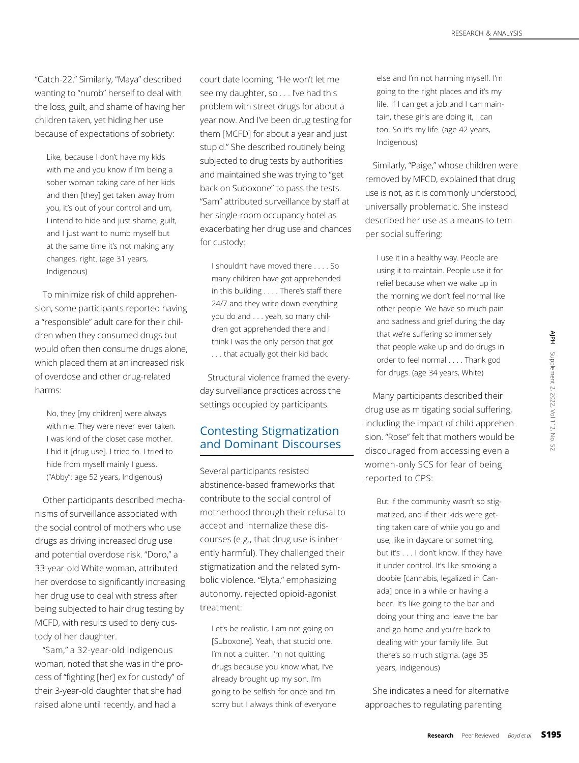"Catch-22." Similarly, "Maya" described wanting to "numb" herself to deal with the loss, guilt, and shame of having her children taken, yet hiding her use because of expectations of sobriety:

Like, because I don't have my kids with me and you know if I'm being a sober woman taking care of her kids and then [they] get taken away from you, it's out of your control and um, I intend to hide and just shame, guilt, and I just want to numb myself but at the same time it's not making any changes, right. (age 31 years, Indigenous)

To minimize risk of child apprehension, some participants reported having a "responsible" adult care for their children when they consumed drugs but would often then consume drugs alone, which placed them at an increased risk of overdose and other drug-related harms:

No, they [my children] were always with me. They were never ever taken. I was kind of the closet case mother. I hid it [drug use]. I tried to. I tried to hide from myself mainly I guess. ("Abby": age 52 years, Indigenous)

Other participants described mechanisms of surveillance associated with the social control of mothers who use drugs as driving increased drug use and potential overdose risk. "Doro," a 33-year-old White woman, attributed her overdose to significantly increasing her drug use to deal with stress after being subjected to hair drug testing by MCFD, with results used to deny custody of her daughter.

"Sam," a 32-year-old Indigenous woman, noted that she was in the process of "fighting [her] ex for custody" of their 3-year-old daughter that she had raised alone until recently, and had a

court date looming. "He won't let me see my daughter, so . . . I've had this problem with street drugs for about a year now. And I've been drug testing for them [MCFD] for about a year and just stupid." She described routinely being subjected to drug tests by authorities and maintained she was trying to "get back on Suboxone" to pass the tests. "Sam" attributed surveillance by staff at her single-room occupancy hotel as exacerbating her drug use and chances for custody:

I shouldn't have moved there . . . . So many children have got apprehended in this building . . . . There's staff there 24/7 and they write down everything you do and . . . yeah, so many children got apprehended there and I think I was the only person that got . . . that actually got their kid back.

Structural violence framed the everyday surveillance practices across the settings occupied by participants.

## Contesting Stigmatization and Dominant Discourses

Several participants resisted abstinence-based frameworks that contribute to the social control of motherhood through their refusal to accept and internalize these discourses (e.g., that drug use is inherently harmful). They challenged their stigmatization and the related symbolic violence. "Elyta," emphasizing autonomy, rejected opioid-agonist treatment:

Let's be realistic, I am not going on [Suboxone]. Yeah, that stupid one. I'm not a quitter. I'm not quitting drugs because you know what, I've already brought up my son. I'm going to be selfish for once and I'm sorry but I always think of everyone else and I'm not harming myself. I'm going to the right places and it's my life. If I can get a job and I can maintain, these girls are doing it, I can too. So it's my life. (age 42 years, Indigenous)

Similarly, "Paige," whose children were removed by MFCD, explained that drug use is not, as it is commonly understood, universally problematic. She instead described her use as a means to temper social suffering:

I use it in a healthy way. People are using it to maintain. People use it for relief because when we wake up in the morning we don't feel normal like other people. We have so much pain and sadness and grief during the day that we're suffering so immensely that people wake up and do drugs in order to feel normal . . . . Thank god for drugs. (age 34 years, White)

Many participants described their drug use as mitigating social suffering, including the impact of child apprehension. "Rose" felt that mothers would be discouraged from accessing even a women-only SCS for fear of being reported to CPS:

But if the community wasn't so stigmatized, and if their kids were getting taken care of while you go and use, like in daycare or something, but it's . . . I don't know. If they have it under control. It's like smoking a doobie [cannabis, legalized in Canada] once in a while or having a beer. It's like going to the bar and doing your thing and leave the bar and go home and you're back to dealing with your family life. But there's so much stigma. (age 35 years, Indigenous) Examples of internal and do drugs in the system of the up and do drugs in any system of all supplement of child apprehenenthat mothers would be  $\frac{2}{5}$   $\frac{2}{5}$  and supplement  $\frac{2}{5}$  and  $\frac{2}{5}$  and  $\frac{2}{5}$  and

She indicates a need for alternative approaches to regulating parenting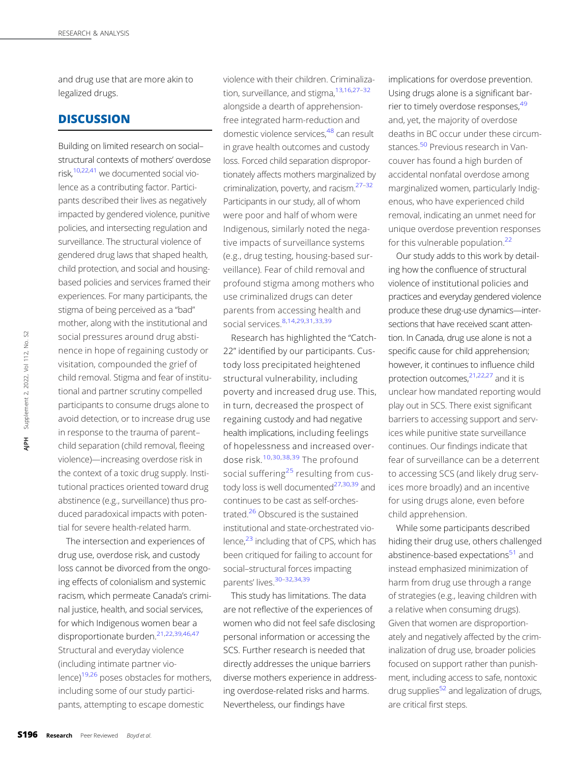and drug use that are more akin to legalized drugs.

## **DISCUSSION**

Building on limited research on social– structural contexts of mothers' overdose risk,[10,22,41](#page-7-0) we documented social violence as a contributing factor. Participants described their lives as negatively impacted by gendered violence, punitive policies, and intersecting regulation and surveillance. The structural violence of gendered drug laws that shaped health, child protection, and social and housingbased policies and services framed their experiences. For many participants, the stigma of being perceived as a "bad" mother, along with the institutional and social pressures around drug abstinence in hope of regaining custody or visitation, compounded the grief of child removal. Stigma and fear of institutional and partner scrutiny compelled participants to consume drugs alone to avoid detection, or to increase drug use in response to the trauma of parent– child separation (child removal, fleeing violence)—increasing overdose risk in the context of a toxic drug supply. Institutional practices oriented toward drug abstinence (e.g., surveillance) thus produced paradoxical impacts with potential for severe health-related harm. Social pressures around<br>
nence in hope of regain<br>
visitation, compounded<br>
child removal. Stigma an<br>
tional and partner scruti<br>
participants to consume<br>
avoid detection, or to ind<br>
in response to the traum<br>
child separatio

The intersection and experiences of drug use, overdose risk, and custody loss cannot be divorced from the ongoing effects of colonialism and systemic racism, which permeate Canada's criminal justice, health, and social services, for which Indigenous women bear a disproportionate burden.<sup>[21](#page-7-0),[22](#page-7-0),[39](#page-7-0),[46](#page-7-0),[47](#page-7-0)</sup> Structural and everyday violence (including intimate partner violence[\)19,26](#page-7-0) poses obstacles for mothers, including some of our study participants, attempting to escape domestic

violence with their children. Criminaliza-tion, surveillance, and stigma, 13, [16](#page-7-0), [27](#page-7-0)-[32](#page-7-0) alongside a dearth of apprehensionfree integrated harm-reduction and domestic violence services,<sup>48</sup> can result in grave health outcomes and custody loss. Forced child separation disproportionately affects mothers marginalized by criminalization, poverty, and racism.[27](#page-7-0)–[32](#page-7-0) Participants in our study, all of whom were poor and half of whom were Indigenous, similarly noted the negative impacts of surveillance systems (e.g., drug testing, housing-based surveillance). Fear of child removal and profound stigma among mothers who use criminalized drugs can deter parents from accessing health and social services.[8](#page-6-0),[14,29](#page-7-0),[31,33](#page-7-0),[39](#page-7-0)

Research has highlighted the "Catch-22" identified by our participants. Custody loss precipitated heightened structural vulnerability, including poverty and increased drug use. This, in turn, decreased the prospect of regaining custody and had negative health implications, including feelings of hopelessness and increased overdose risk.[10,30,38,39](#page-7-0) The profound social suffering<sup>[25](#page-7-0)</sup> resulting from custody loss is well documented $27,30,39$  and continues to be cast as self-orchestrated[.26](#page-7-0) Obscured is the sustained institutional and state-orchestrated violence, $^{23}$  including that of CPS, which has been critiqued for failing to account for social–structural forces impacting parents' lives. [30](#page-7-0)-[32,34,39](#page-7-0)

This study has limitations. The data are not reflective of the experiences of women who did not feel safe disclosing personal information or accessing the SCS. Further research is needed that directly addresses the unique barriers diverse mothers experience in addressing overdose-related risks and harms. Nevertheless, our findings have

implications for overdose prevention. Using drugs alone is a significant barrier to timely overdose responses.<sup>49</sup> and, yet, the majority of overdose deaths in BC occur under these circum-stances.<sup>[50](#page-7-0)</sup> Previous research in Vancouver has found a high burden of accidental nonfatal overdose among marginalized women, particularly Indigenous, who have experienced child removal, indicating an unmet need for unique overdose prevention responses for this vulnerable population.<sup>[22](#page-7-0)</sup>

Our study adds to this work by detailing how the confluence of structural violence of institutional policies and practices and everyday gendered violence produce these drug-use dynamics—intersections that have received scant attention. In Canada, drug use alone is not a specific cause for child apprehension; however, it continues to influence child protection outcomes, $21,22,27$  and it is unclear how mandated reporting would play out in SCS. There exist significant barriers to accessing support and services while punitive state surveillance continues. Our findings indicate that fear of surveillance can be a deterrent to accessing SCS (and likely drug services more broadly) and an incentive for using drugs alone, even before child apprehension.

While some participants described hiding their drug use, others challenged abstinence-based expectations<sup>51</sup> and instead emphasized minimization of harm from drug use through a range of strategies (e.g., leaving children with a relative when consuming drugs). Given that women are disproportionately and negatively affected by the criminalization of drug use, broader policies focused on support rather than punishment, including access to safe, nontoxic drug supplies $52$  and legalization of drugs, are critical first steps.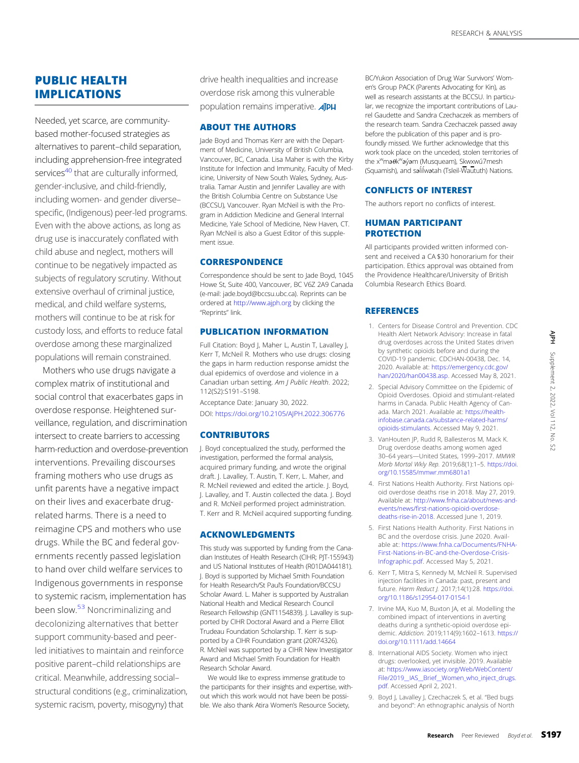<span id="page-6-0"></span>Needed, yet scarce, are communitybased mother-focused strategies as alternatives to parent–child separation, including apprehension-free integrated services<sup>[40](#page-7-0)</sup> that are culturally informed, gender-inclusive, and child-friendly, including women- and gender diverse– specific, (Indigenous) peer-led programs. Even with the above actions, as long as drug use is inaccurately conflated with child abuse and neglect, mothers will continue to be negatively impacted as subjects of regulatory scrutiny. Without extensive overhaul of criminal justice, medical, and child welfare systems, mothers will continue to be at risk for custody loss, and efforts to reduce fatal overdose among these marginalized populations will remain constrained.

Mothers who use drugs navigate a complex matrix of institutional and social control that exacerbates gaps in overdose response. Heightened surveillance, regulation, and discrimination intersect to create barriers to accessing harm-reduction and overdose-prevention interventions. Prevailing discourses framing mothers who use drugs as unfit parents have a negative impact on their lives and exacerbate drugrelated harms. There is a need to reimagine CPS and mothers who use drugs. While the BC and federal governments recently passed legislation to hand over child welfare services to Indigenous governments in response to systemic racism, implementation has been slow.<sup>[53](#page-7-0)</sup> Noncriminalizing and decolonizing alternatives that better support community-based and peerled initiatives to maintain and reinforce positive parent–child relationships are critical. Meanwhile, addressing social– structural conditions (e.g., criminalization, systemic racism, poverty, misogyny) that

drive health inequalities and increase overdose risk among this vulnerable population remains imperative. **AIPH** 

#### ABOUT THE AUTHORS

Jade Boyd and Thomas Kerr are with the Department of Medicine, University of British Columbia, Vancouver, BC, Canada. Lisa Maher is with the Kirby Institute for Infection and Immunity, Faculty of Medicine, University of New South Wales, Sydney, Australia. Tamar Austin and Jennifer Lavalley are with the British Columbia Centre on Substance Use (BCCSU), Vancouver. Ryan McNeil is with the Program in Addiction Medicine and General Internal Medicine, Yale School of Medicine, New Haven, CT. Ryan McNeil is also a Guest Editor of this supplement issue.

#### **CORRESPONDENCE**

Correspondence should be sent to Jade Boyd, 1045 Howe St, Suite 400, Vancouver, BC V6Z 2A9 Canada (e-mail: [jade.boyd@bccsu.ubc.ca\)](mailto:jade.boyd@bccsu.ubc.ca). Reprints can be ordered at <http://www.ajph.org> by clicking the "Reprints" link.

#### PUBLICATION INFORMATION

Full Citation: Boyd J, Maher L, Austin T, Lavalley J, Kerr T, McNeil R. Mothers who use drugs: closing the gaps in harm reduction response amidst the dual epidemics of overdose and violence in a Canadian urban setting. Am J Public Health. 2022; 112(S2):S191–S198.

Acceptance Date: January 30, 2022. DOI: <https://doi.org/10.2105/AJPH.2022.306776>

#### **CONTRIBUTORS**

J. Boyd conceptualized the study, performed the investigation, performed the formal analysis, acquired primary funding, and wrote the original draft. J. Lavalley, T. Austin, T. Kerr, L. Maher, and R. McNeil reviewed and edited the article. J. Boyd, J. Lavalley, and T. Austin collected the data. J. Boyd and R. McNeil performed project administration. T. Kerr and R. McNeil acquired supporting funding.

#### ACKNOWLEDGMENTS

This study was supported by funding from the Canadian Institutes of Health Research (CIHR; PJT-155943) and US National Institutes of Health (R01DA044181). J. Boyd is supported by Michael Smith Foundation for Health Research/St Paul's Foundation/BCCSU Scholar Award. L. Maher is supported by Australian National Health and Medical Research Council Research Fellowship (GNT1154839). J. Lavalley is supported by CIHR Doctoral Award and a Pierre Elliot Trudeau Foundation Scholarship. T. Kerr is supported by a CIHR Foundation grant (20R74326). R. McNeil was supported by a CIHR New Investigator Award and Michael Smith Foundation for Health Research Scholar Award.

We would like to express immense gratitude to the participants for their insights and expertise, without which this work would not have been be possible. We also thank Atira Women's Resource Society,

BC/Yukon Association of Drug War Survivors' Women's Group PACK (Parents Advocating for Kin), as well as research assistants at the BCCSU. In particular, we recognize the important contributions of Laurel Gaudette and Sandra Czechaczek as members of the research team. Sandra Czechaczek passed away before the publication of this paper and is profoundly missed. We further acknowledge that this work took place on the unceded, stolen territories of the x<sup>w</sup>ma0k<sup>w</sup>ayam (Musqueam), Skwxwu7mesh (Squamish), and salilwatah (Tsleil-Waututh) Nations.

#### CONFLICTS OF INTEREST

The authors report no conflicts of interest.

#### HUMAN PARTICIPANT **PROTECTION**

All participants provided written informed consent and received a CA \$30 honorarium for their participation. Ethics approval was obtained from the Providence Healthcare/University of British Columbia Research Ethics Board.

#### REFERENCES

- 1. Centers for Disease Control and Prevention. CDC Health Alert Network Advisory: Increase in fatal drug overdoses across the United States driven by synthetic opioids before and during the COVID-19 pandemic. CDCHAN-00438, Dec. 14, 2020. Available at: [https://emergency.cdc.gov/](https://emergency.cdc.gov/han/2020/han00438.asp) [han/2020/han00438.asp.](https://emergency.cdc.gov/han/2020/han00438.asp) Accessed May 8, 2021.
- 2. Special Advisory Committee on the Epidemic of Opioid Overdoses. Opioid and stimulant-related harms in Canada. Public Health Agency of Canada. March 2021. Available at: [https://health](https://health-infobase.canada.ca/substance-related-harms/opioids-stimulants)[infobase.canada.ca/substance-related-harms/](https://health-infobase.canada.ca/substance-related-harms/opioids-stimulants) [opioids-stimulants](https://health-infobase.canada.ca/substance-related-harms/opioids-stimulants). Accessed May 9, 2021. rork Advisory: Increase in fatal<br>
rackets diving the<br>
rackets diving the<br>
info. CDCHAN-00438, Dec. 14,<br>
in the stressed May 8, 2021.<br>
33. asp. Accessed May 8, 2021.<br>
S. Opioid and stimulant-related<br>
P. Public Health Agency
- 3. VanHouten JP, Rudd R, Ballesteros M, Mack K. Drug overdose deaths among women aged 30–64 years—United States, 1999–2017. MMWR Morb Mortal Wkly Rep. 2019;68(1):1–5. [https://doi.](https://doi.org/10.15585/mmwr.mm6801a1) [org/10.15585/mmwr.mm6801a1](https://doi.org/10.15585/mmwr.mm6801a1)
- 4. First Nations Health Authority. First Nations opioid overdose deaths rise in 2018. May 27, 2019. Available at: [http://www.fnha.ca/about/news-and](http://www.fnha.ca/about/news-and-events/news/first-nations-opioid-overdose-deaths-rise-in-2018)events/news/fi[rst-nations-opioid-overdose](http://www.fnha.ca/about/news-and-events/news/first-nations-opioid-overdose-deaths-rise-in-2018)[deaths-rise-in-2018.](http://www.fnha.ca/about/news-and-events/news/first-nations-opioid-overdose-deaths-rise-in-2018) Accessed June 1, 2019.
- 5. First Nations Health Authority. First Nations in BC and the overdose crisis. June 2020. Available at: [https://www.fnha.ca/Documents/FNHA-](https://www.fnha.ca/Documents/FNHA-First-Nations-in-BC-and-the-Overdose-Crisis-Infographic.pdf)[First-Nations-in-BC-and-the-Overdose-Crisis-](https://www.fnha.ca/Documents/FNHA-First-Nations-in-BC-and-the-Overdose-Crisis-Infographic.pdf)[Infographic.pdf.](https://www.fnha.ca/Documents/FNHA-First-Nations-in-BC-and-the-Overdose-Crisis-Infographic.pdf) Accessed May 5, 2021.
- 6. Kerr T, Mitra S, Kennedy M, McNeil R. Supervised injection facilities in Canada: past, present and future. Harm Reduct J. 2017;14(1):28. [https://doi.](https://doi.org/10.1186/s12954-017-0154-1) [org/10.1186/s12954-017-0154-1](https://doi.org/10.1186/s12954-017-0154-1)
- 7. Irvine MA, Kuo M, Buxton JA, et al. Modelling the combined impact of interventions in averting deaths during a synthetic-opioid overdose epidemic. Addiction. 2019;114(9):1602–1613. [https://](https://doi.org/10.1111/add.14664) [doi.org/10.1111/add.14664](https://doi.org/10.1111/add.14664)
- 8. International AIDS Society. Women who inject drugs: overlooked, yet invisible. 2019. Available at: [https://www.iasociety.org/Web/WebContent/](https://www.iasociety.org/Web/WebContent/File/2019__IAS__Brief__Women_who_inject_drugs.pdf) [File/2019\\_\\_IAS\\_\\_Brief\\_\\_Women\\_who\\_inject\\_drugs.](https://www.iasociety.org/Web/WebContent/File/2019__IAS__Brief__Women_who_inject_drugs.pdf) [pdf.](https://www.iasociety.org/Web/WebContent/File/2019__IAS__Brief__Women_who_inject_drugs.pdf) Accessed April 2, 2021.
- 9. Boyd J, Lavalley J, Czechaczek S, et al. "Bed bugs and beyond": An ethnographic analysis of North